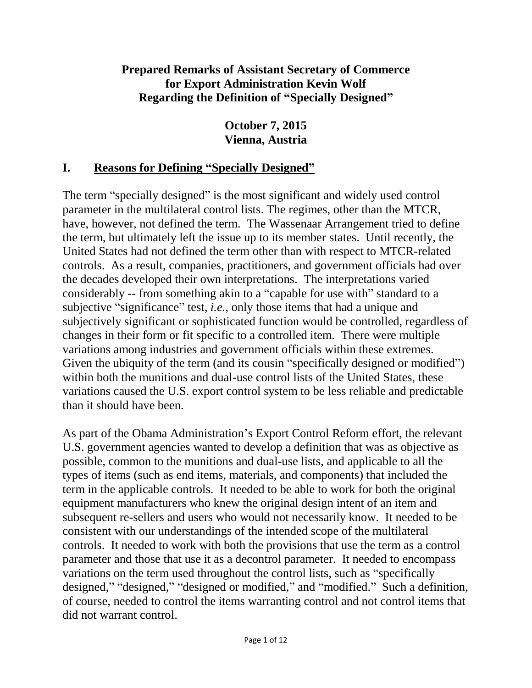#### **Prepared Remarks of Assistant Secretary of Commerce for Export Administration Kevin Wolf Regarding the Definition of "Specially Designed"**

#### **October 7, 2015 Vienna, Austria**

#### **I. Reasons for Defining "Specially Designed"**

The term "specially designed" is the most significant and widely used control parameter in the multilateral control lists. The regimes, other than the MTCR, have, however, not defined the term. The Wassenaar Arrangement tried to define the term, but ultimately left the issue up to its member states. Until recently, the United States had not defined the term other than with respect to MTCR-related controls. As a result, companies, practitioners, and government officials had over the decades developed their own interpretations. The interpretations varied considerably -- from something akin to a "capable for use with" standard to a subjective "significance" test, *i.e.*, only those items that had a unique and subjectively significant or sophisticated function would be controlled, regardless of changes in their form or fit specific to a controlled item. There were multiple variations among industries and government officials within these extremes. Given the ubiquity of the term (and its cousin "specifically designed or modified") within both the munitions and dual-use control lists of the United States, these variations caused the U.S. export control system to be less reliable and predictable than it should have been.

As part of the Obama Administration's Export Control Reform effort, the relevant U.S. government agencies wanted to develop a definition that was as objective as possible, common to the munitions and dual-use lists, and applicable to all the types of items (such as end items, materials, and components) that included the term in the applicable controls. It needed to be able to work for both the original equipment manufacturers who knew the original design intent of an item and subsequent re-sellers and users who would not necessarily know. It needed to be consistent with our understandings of the intended scope of the multilateral controls. It needed to work with both the provisions that use the term as a control parameter and those that use it as a decontrol parameter. It needed to encompass variations on the term used throughout the control lists, such as "specifically designed," "designed," "designed or modified," and "modified." Such a definition, of course, needed to control the items warranting control and not control items that did not warrant control.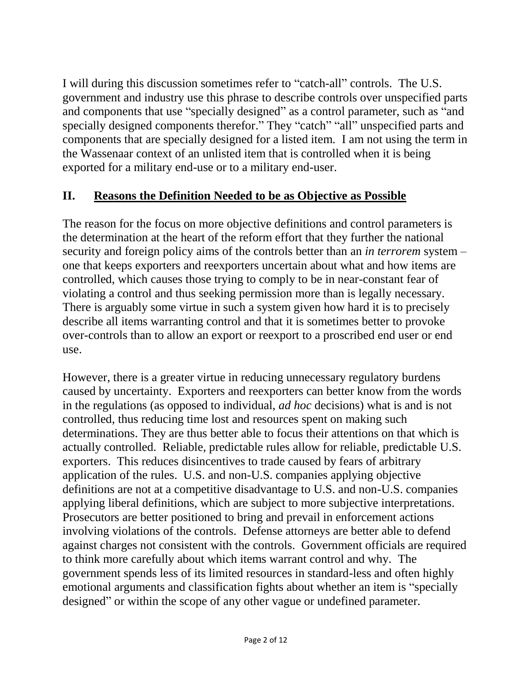I will during this discussion sometimes refer to "catch-all" controls. The U.S. government and industry use this phrase to describe controls over unspecified parts and components that use "specially designed" as a control parameter, such as "and specially designed components therefor." They "catch" "all" unspecified parts and components that are specially designed for a listed item. I am not using the term in the Wassenaar context of an unlisted item that is controlled when it is being exported for a military end-use or to a military end-user.

### **II. Reasons the Definition Needed to be as Objective as Possible**

The reason for the focus on more objective definitions and control parameters is the determination at the heart of the reform effort that they further the national security and foreign policy aims of the controls better than an *in terrorem* system – one that keeps exporters and reexporters uncertain about what and how items are controlled, which causes those trying to comply to be in near-constant fear of violating a control and thus seeking permission more than is legally necessary. There is arguably some virtue in such a system given how hard it is to precisely describe all items warranting control and that it is sometimes better to provoke over-controls than to allow an export or reexport to a proscribed end user or end use.

However, there is a greater virtue in reducing unnecessary regulatory burdens caused by uncertainty. Exporters and reexporters can better know from the words in the regulations (as opposed to individual, *ad hoc* decisions) what is and is not controlled, thus reducing time lost and resources spent on making such determinations. They are thus better able to focus their attentions on that which is actually controlled. Reliable, predictable rules allow for reliable, predictable U.S. exporters. This reduces disincentives to trade caused by fears of arbitrary application of the rules. U.S. and non-U.S. companies applying objective definitions are not at a competitive disadvantage to U.S. and non-U.S. companies applying liberal definitions, which are subject to more subjective interpretations. Prosecutors are better positioned to bring and prevail in enforcement actions involving violations of the controls. Defense attorneys are better able to defend against charges not consistent with the controls. Government officials are required to think more carefully about which items warrant control and why. The government spends less of its limited resources in standard-less and often highly emotional arguments and classification fights about whether an item is "specially designed" or within the scope of any other vague or undefined parameter.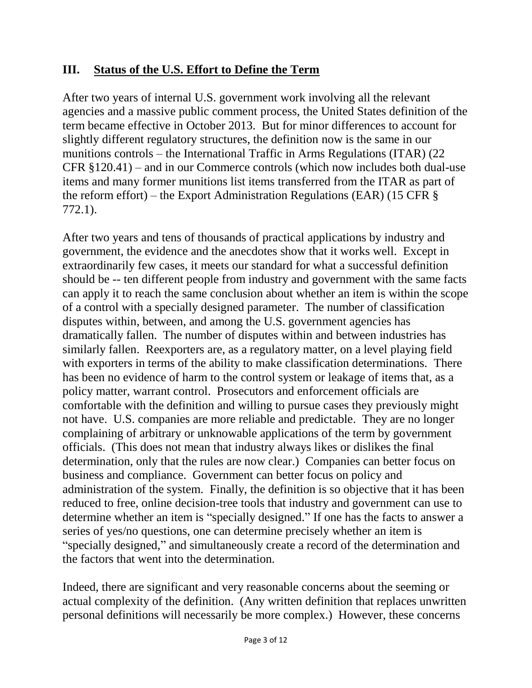### **III. Status of the U.S. Effort to Define the Term**

After two years of internal U.S. government work involving all the relevant agencies and a massive public comment process, the United States definition of the term became effective in October 2013. But for minor differences to account for slightly different regulatory structures, the definition now is the same in our munitions controls – the International Traffic in Arms Regulations (ITAR) (22 CFR §120.41) – and in our Commerce controls (which now includes both dual-use items and many former munitions list items transferred from the ITAR as part of the reform effort) – the Export Administration Regulations (EAR) (15 CFR  $\S$ 772.1).

After two years and tens of thousands of practical applications by industry and government, the evidence and the anecdotes show that it works well. Except in extraordinarily few cases, it meets our standard for what a successful definition should be -- ten different people from industry and government with the same facts can apply it to reach the same conclusion about whether an item is within the scope of a control with a specially designed parameter. The number of classification disputes within, between, and among the U.S. government agencies has dramatically fallen. The number of disputes within and between industries has similarly fallen. Reexporters are, as a regulatory matter, on a level playing field with exporters in terms of the ability to make classification determinations. There has been no evidence of harm to the control system or leakage of items that, as a policy matter, warrant control. Prosecutors and enforcement officials are comfortable with the definition and willing to pursue cases they previously might not have. U.S. companies are more reliable and predictable. They are no longer complaining of arbitrary or unknowable applications of the term by government officials. (This does not mean that industry always likes or dislikes the final determination, only that the rules are now clear.) Companies can better focus on business and compliance. Government can better focus on policy and administration of the system. Finally, the definition is so objective that it has been reduced to free, online decision-tree tools that industry and government can use to determine whether an item is "specially designed." If one has the facts to answer a series of yes/no questions, one can determine precisely whether an item is "specially designed," and simultaneously create a record of the determination and the factors that went into the determination.

Indeed, there are significant and very reasonable concerns about the seeming or actual complexity of the definition. (Any written definition that replaces unwritten personal definitions will necessarily be more complex.) However, these concerns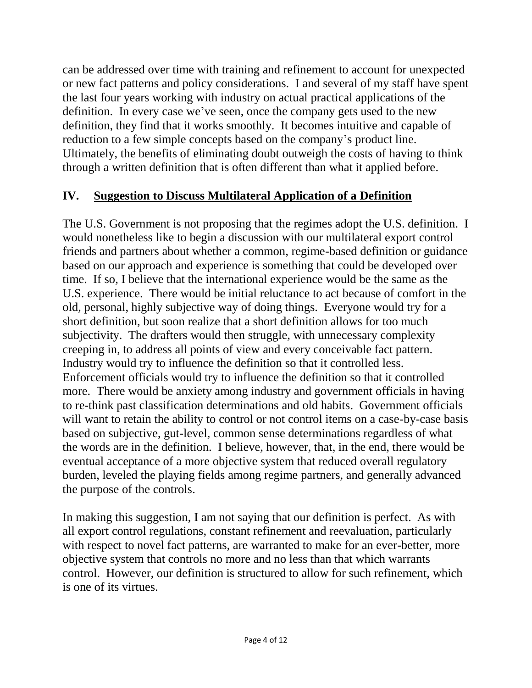can be addressed over time with training and refinement to account for unexpected or new fact patterns and policy considerations. I and several of my staff have spent the last four years working with industry on actual practical applications of the definition. In every case we've seen, once the company gets used to the new definition, they find that it works smoothly. It becomes intuitive and capable of reduction to a few simple concepts based on the company's product line. Ultimately, the benefits of eliminating doubt outweigh the costs of having to think through a written definition that is often different than what it applied before.

## **IV. Suggestion to Discuss Multilateral Application of a Definition**

The U.S. Government is not proposing that the regimes adopt the U.S. definition. I would nonetheless like to begin a discussion with our multilateral export control friends and partners about whether a common, regime-based definition or guidance based on our approach and experience is something that could be developed over time. If so, I believe that the international experience would be the same as the U.S. experience. There would be initial reluctance to act because of comfort in the old, personal, highly subjective way of doing things. Everyone would try for a short definition, but soon realize that a short definition allows for too much subjectivity. The drafters would then struggle, with unnecessary complexity creeping in, to address all points of view and every conceivable fact pattern. Industry would try to influence the definition so that it controlled less. Enforcement officials would try to influence the definition so that it controlled more. There would be anxiety among industry and government officials in having to re-think past classification determinations and old habits. Government officials will want to retain the ability to control or not control items on a case-by-case basis based on subjective, gut-level, common sense determinations regardless of what the words are in the definition. I believe, however, that, in the end, there would be eventual acceptance of a more objective system that reduced overall regulatory burden, leveled the playing fields among regime partners, and generally advanced the purpose of the controls.

In making this suggestion, I am not saying that our definition is perfect. As with all export control regulations, constant refinement and reevaluation, particularly with respect to novel fact patterns, are warranted to make for an ever-better, more objective system that controls no more and no less than that which warrants control. However, our definition is structured to allow for such refinement, which is one of its virtues.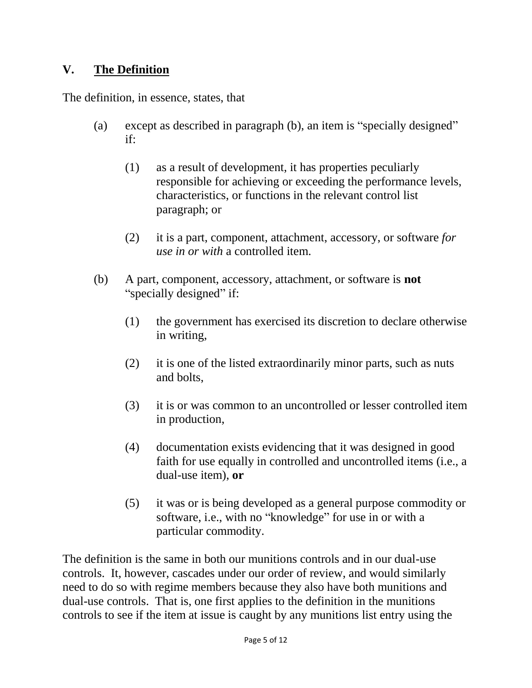### **V. The Definition**

The definition, in essence, states, that

- (a) except as described in paragraph (b), an item is "specially designed" if:
	- (1) as a result of development, it has properties peculiarly responsible for achieving or exceeding the performance levels, characteristics, or functions in the relevant control list paragraph; or
	- (2) it is a part, component, attachment, accessory, or software *for use in or with* a controlled item.
- (b) A part, component, accessory, attachment, or software is **not** "specially designed" if:
	- (1) the government has exercised its discretion to declare otherwise in writing,
	- (2) it is one of the listed extraordinarily minor parts, such as nuts and bolts,
	- (3) it is or was common to an uncontrolled or lesser controlled item in production,
	- (4) documentation exists evidencing that it was designed in good faith for use equally in controlled and uncontrolled items (i.e., a dual-use item), **or**
	- (5) it was or is being developed as a general purpose commodity or software, i.e., with no "knowledge" for use in or with a particular commodity.

The definition is the same in both our munitions controls and in our dual-use controls. It, however, cascades under our order of review, and would similarly need to do so with regime members because they also have both munitions and dual-use controls. That is, one first applies to the definition in the munitions controls to see if the item at issue is caught by any munitions list entry using the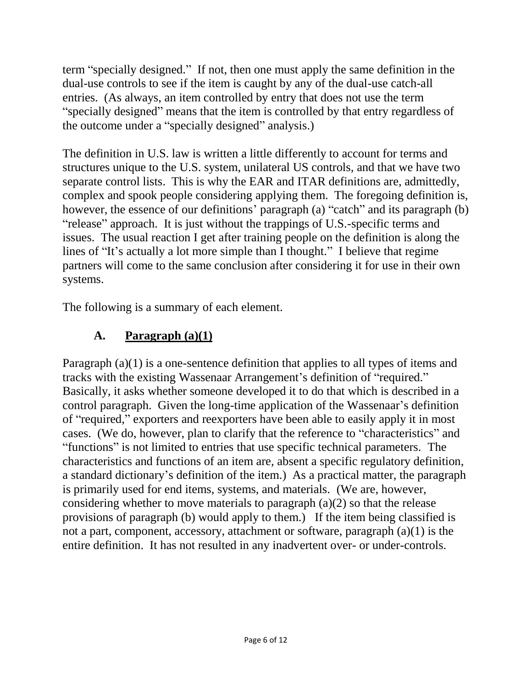term "specially designed." If not, then one must apply the same definition in the dual-use controls to see if the item is caught by any of the dual-use catch-all entries. (As always, an item controlled by entry that does not use the term "specially designed" means that the item is controlled by that entry regardless of the outcome under a "specially designed" analysis.)

The definition in U.S. law is written a little differently to account for terms and structures unique to the U.S. system, unilateral US controls, and that we have two separate control lists. This is why the EAR and ITAR definitions are, admittedly, complex and spook people considering applying them. The foregoing definition is, however, the essence of our definitions' paragraph (a) "catch" and its paragraph (b) "release" approach. It is just without the trappings of U.S.-specific terms and issues. The usual reaction I get after training people on the definition is along the lines of "It's actually a lot more simple than I thought." I believe that regime partners will come to the same conclusion after considering it for use in their own systems.

The following is a summary of each element.

## **A. Paragraph (a)(1)**

Paragraph (a)(1) is a one-sentence definition that applies to all types of items and tracks with the existing Wassenaar Arrangement's definition of "required." Basically, it asks whether someone developed it to do that which is described in a control paragraph. Given the long-time application of the Wassenaar's definition of "required," exporters and reexporters have been able to easily apply it in most cases. (We do, however, plan to clarify that the reference to "characteristics" and "functions" is not limited to entries that use specific technical parameters. The characteristics and functions of an item are, absent a specific regulatory definition, a standard dictionary's definition of the item.) As a practical matter, the paragraph is primarily used for end items, systems, and materials. (We are, however, considering whether to move materials to paragraph (a)(2) so that the release provisions of paragraph (b) would apply to them.) If the item being classified is not a part, component, accessory, attachment or software, paragraph (a)(1) is the entire definition. It has not resulted in any inadvertent over- or under-controls.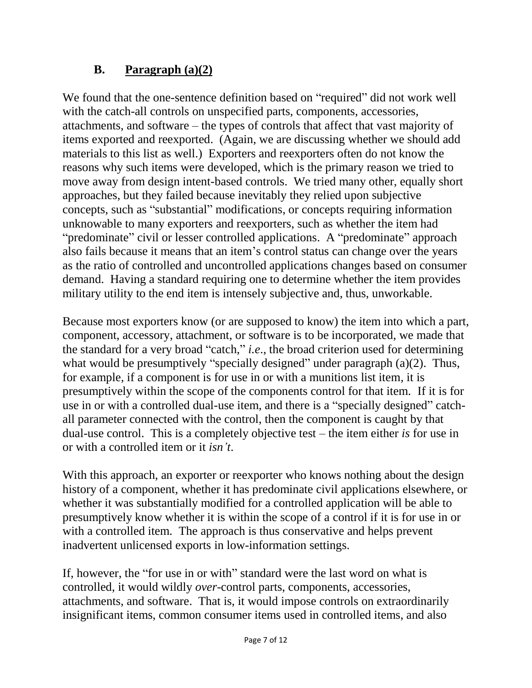## **B. Paragraph (a)(2)**

We found that the one-sentence definition based on "required" did not work well with the catch-all controls on unspecified parts, components, accessories, attachments, and software – the types of controls that affect that vast majority of items exported and reexported. (Again, we are discussing whether we should add materials to this list as well.) Exporters and reexporters often do not know the reasons why such items were developed, which is the primary reason we tried to move away from design intent-based controls. We tried many other, equally short approaches, but they failed because inevitably they relied upon subjective concepts, such as "substantial" modifications, or concepts requiring information unknowable to many exporters and reexporters, such as whether the item had "predominate" civil or lesser controlled applications. A "predominate" approach also fails because it means that an item's control status can change over the years as the ratio of controlled and uncontrolled applications changes based on consumer demand. Having a standard requiring one to determine whether the item provides military utility to the end item is intensely subjective and, thus, unworkable.

Because most exporters know (or are supposed to know) the item into which a part, component, accessory, attachment, or software is to be incorporated, we made that the standard for a very broad "catch," *i.e*., the broad criterion used for determining what would be presumptively "specially designed" under paragraph (a)(2). Thus, for example, if a component is for use in or with a munitions list item, it is presumptively within the scope of the components control for that item. If it is for use in or with a controlled dual-use item, and there is a "specially designed" catchall parameter connected with the control, then the component is caught by that dual-use control. This is a completely objective test – the item either *is* for use in or with a controlled item or it *isn't*.

With this approach, an exporter or reexporter who knows nothing about the design history of a component, whether it has predominate civil applications elsewhere, or whether it was substantially modified for a controlled application will be able to presumptively know whether it is within the scope of a control if it is for use in or with a controlled item. The approach is thus conservative and helps prevent inadvertent unlicensed exports in low-information settings.

If, however, the "for use in or with" standard were the last word on what is controlled, it would wildly *over*-control parts, components, accessories, attachments, and software. That is, it would impose controls on extraordinarily insignificant items, common consumer items used in controlled items, and also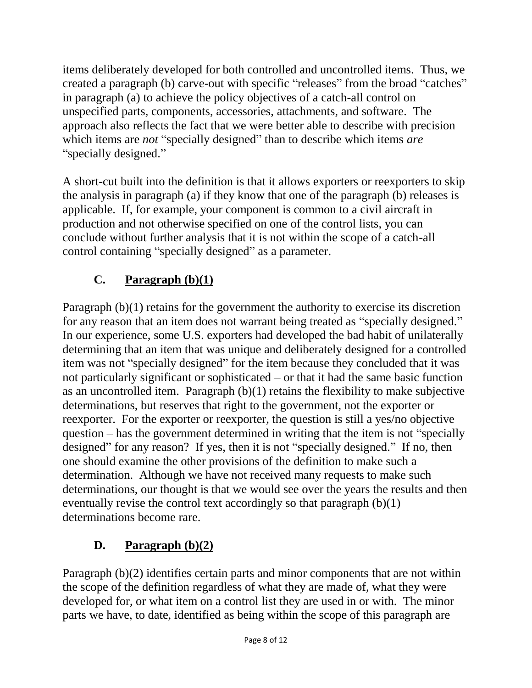items deliberately developed for both controlled and uncontrolled items. Thus, we created a paragraph (b) carve-out with specific "releases" from the broad "catches" in paragraph (a) to achieve the policy objectives of a catch-all control on unspecified parts, components, accessories, attachments, and software. The approach also reflects the fact that we were better able to describe with precision which items are *not* "specially designed" than to describe which items *are* "specially designed."

A short-cut built into the definition is that it allows exporters or reexporters to skip the analysis in paragraph (a) if they know that one of the paragraph (b) releases is applicable. If, for example, your component is common to a civil aircraft in production and not otherwise specified on one of the control lists, you can conclude without further analysis that it is not within the scope of a catch-all control containing "specially designed" as a parameter.

# **C. Paragraph (b)(1)**

Paragraph (b)(1) retains for the government the authority to exercise its discretion for any reason that an item does not warrant being treated as "specially designed." In our experience, some U.S. exporters had developed the bad habit of unilaterally determining that an item that was unique and deliberately designed for a controlled item was not "specially designed" for the item because they concluded that it was not particularly significant or sophisticated – or that it had the same basic function as an uncontrolled item. Paragraph (b)(1) retains the flexibility to make subjective determinations, but reserves that right to the government, not the exporter or reexporter. For the exporter or reexporter, the question is still a yes/no objective question – has the government determined in writing that the item is not "specially designed" for any reason? If yes, then it is not "specially designed." If no, then one should examine the other provisions of the definition to make such a determination. Although we have not received many requests to make such determinations, our thought is that we would see over the years the results and then eventually revise the control text accordingly so that paragraph (b)(1) determinations become rare.

# **D. Paragraph (b)(2)**

Paragraph (b)(2) identifies certain parts and minor components that are not within the scope of the definition regardless of what they are made of, what they were developed for, or what item on a control list they are used in or with. The minor parts we have, to date, identified as being within the scope of this paragraph are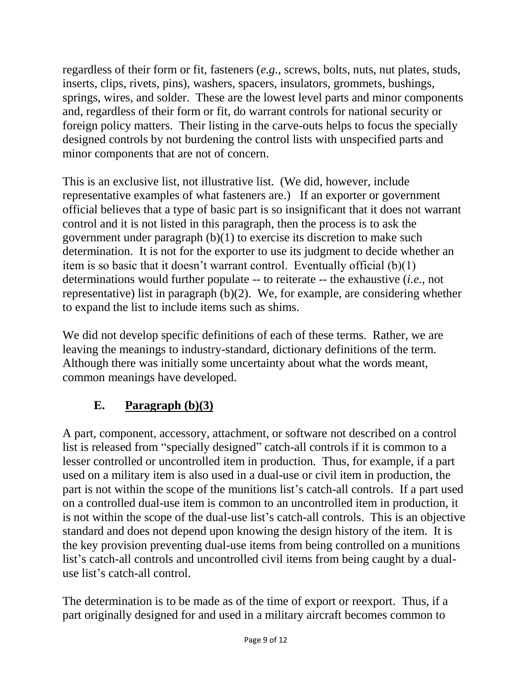regardless of their form or fit, fasteners (*e.g.*, screws, bolts, nuts, nut plates, studs, inserts, clips, rivets, pins), washers, spacers, insulators, grommets, bushings, springs, wires, and solder. These are the lowest level parts and minor components and, regardless of their form or fit, do warrant controls for national security or foreign policy matters. Their listing in the carve-outs helps to focus the specially designed controls by not burdening the control lists with unspecified parts and minor components that are not of concern.

This is an exclusive list, not illustrative list. (We did, however, include representative examples of what fasteners are.) If an exporter or government official believes that a type of basic part is so insignificant that it does not warrant control and it is not listed in this paragraph, then the process is to ask the government under paragraph (b)(1) to exercise its discretion to make such determination. It is not for the exporter to use its judgment to decide whether an item is so basic that it doesn't warrant control. Eventually official (b)(1) determinations would further populate -- to reiterate -- the exhaustive (*i.e.*, not representative) list in paragraph (b)(2). We, for example, are considering whether to expand the list to include items such as shims.

We did not develop specific definitions of each of these terms. Rather, we are leaving the meanings to industry-standard, dictionary definitions of the term. Although there was initially some uncertainty about what the words meant, common meanings have developed.

# **E. Paragraph (b)(3)**

A part, component, accessory, attachment, or software not described on a control list is released from "specially designed" catch-all controls if it is common to a lesser controlled or uncontrolled item in production. Thus, for example, if a part used on a military item is also used in a dual-use or civil item in production, the part is not within the scope of the munitions list's catch-all controls. If a part used on a controlled dual-use item is common to an uncontrolled item in production, it is not within the scope of the dual-use list's catch-all controls. This is an objective standard and does not depend upon knowing the design history of the item. It is the key provision preventing dual-use items from being controlled on a munitions list's catch-all controls and uncontrolled civil items from being caught by a dualuse list's catch-all control.

The determination is to be made as of the time of export or reexport. Thus, if a part originally designed for and used in a military aircraft becomes common to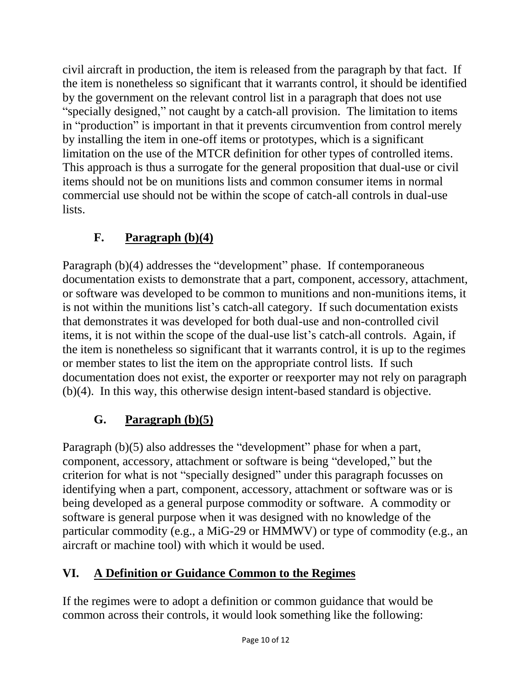civil aircraft in production, the item is released from the paragraph by that fact. If the item is nonetheless so significant that it warrants control, it should be identified by the government on the relevant control list in a paragraph that does not use "specially designed," not caught by a catch-all provision. The limitation to items in "production" is important in that it prevents circumvention from control merely by installing the item in one-off items or prototypes, which is a significant limitation on the use of the MTCR definition for other types of controlled items. This approach is thus a surrogate for the general proposition that dual-use or civil items should not be on munitions lists and common consumer items in normal commercial use should not be within the scope of catch-all controls in dual-use lists.

# **F. Paragraph (b)(4)**

Paragraph (b)(4) addresses the "development" phase. If contemporaneous documentation exists to demonstrate that a part, component, accessory, attachment, or software was developed to be common to munitions and non-munitions items, it is not within the munitions list's catch-all category. If such documentation exists that demonstrates it was developed for both dual-use and non-controlled civil items, it is not within the scope of the dual-use list's catch-all controls. Again, if the item is nonetheless so significant that it warrants control, it is up to the regimes or member states to list the item on the appropriate control lists. If such documentation does not exist, the exporter or reexporter may not rely on paragraph (b)(4). In this way, this otherwise design intent-based standard is objective.

# **G. Paragraph (b)(5)**

Paragraph (b)(5) also addresses the "development" phase for when a part, component, accessory, attachment or software is being "developed," but the criterion for what is not "specially designed" under this paragraph focusses on identifying when a part, component, accessory, attachment or software was or is being developed as a general purpose commodity or software. A commodity or software is general purpose when it was designed with no knowledge of the particular commodity (e.g., a MiG-29 or HMMWV) or type of commodity (e.g., an aircraft or machine tool) with which it would be used.

## **VI. A Definition or Guidance Common to the Regimes**

If the regimes were to adopt a definition or common guidance that would be common across their controls, it would look something like the following: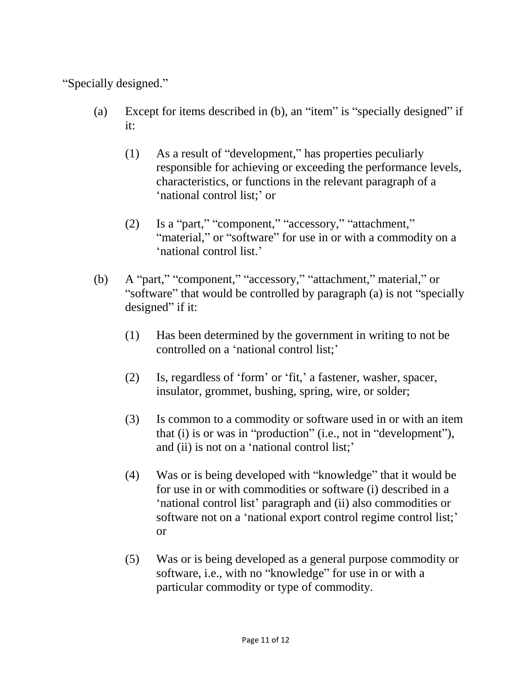"Specially designed."

- (a) Except for items described in (b), an "item" is "specially designed" if it:
	- (1) As a result of "development," has properties peculiarly responsible for achieving or exceeding the performance levels, characteristics, or functions in the relevant paragraph of a 'national control list;' or
	- (2) Is a "part," "component," "accessory," "attachment," "material," or "software" for use in or with a commodity on a 'national control list.'
- (b) A "part," "component," "accessory," "attachment," material," or "software" that would be controlled by paragraph (a) is not "specially designed" if it:
	- (1) Has been determined by the government in writing to not be controlled on a 'national control list;'
	- (2) Is, regardless of 'form' or 'fit,' a fastener, washer, spacer, insulator, grommet, bushing, spring, wire, or solder;
	- (3) Is common to a commodity or software used in or with an item that (i) is or was in "production" (i.e., not in "development"), and (ii) is not on a 'national control list;'
	- (4) Was or is being developed with "knowledge" that it would be for use in or with commodities or software (i) described in a 'national control list' paragraph and (ii) also commodities or software not on a 'national export control regime control list;' or
	- (5) Was or is being developed as a general purpose commodity or software, i.e., with no "knowledge" for use in or with a particular commodity or type of commodity.